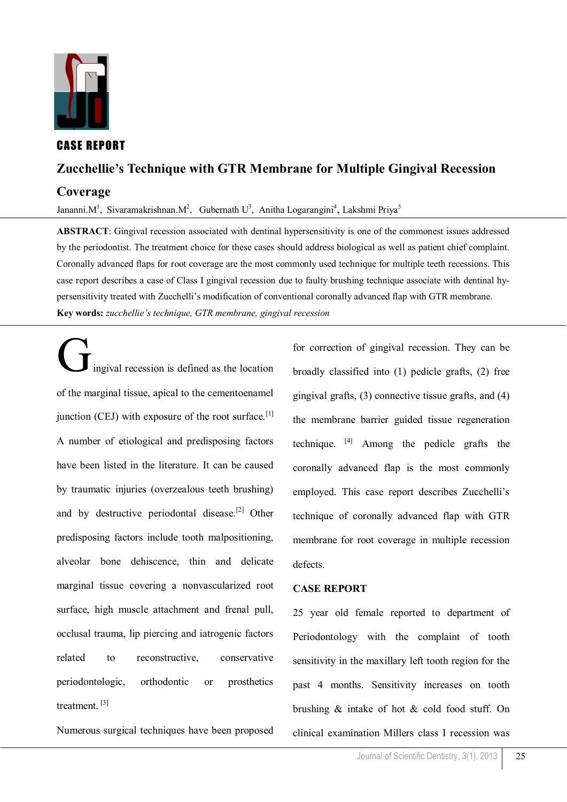

# CASE REPORT

# **Zucchellie's Technique with GTR Membrane for Multiple Gingival Recession**

# **Coverage**

Jananni. M<sup>1</sup>, Sivaramakrishnan. M<sup>2</sup>, Gubernath U<sup>3</sup>, Anitha Logarangini<sup>4</sup>, Lakshmi Priya<sup>5</sup>

**ABSTRACT**: Gingival recession associated with dentinal hypersensitivity is one of the commonest issues addressed by the periodontist. The treatment choice for these cases should address biological as well as patient chief complaint. Coronally advanced flaps for root coverage are the most commonly used technique for multiple teeth recessions. This case report describes a case of Class I gingival recession due to faulty brushing technique associate with dentinal hypersensitivity treated with Zucchelli's modification of conventional coronally advanced flap with GTR membrane. **Key words:** *zucchellie's technique, GTR membrane, gingival recession*

Gingival recession is defined as the location of the marginal tissue, apical to the cementoenamel junction (CEJ) with exposure of the root surface.<sup>[1]</sup> A number of etiological and predisposing factors have been listed in the literature. It can be caused by traumatic injuries (overzealous teeth brushing) and by destructive periodontal disease.<sup>[2]</sup> Other predisposing factors include tooth malpositioning, alveolar bone dehiscence, thin and delicate marginal tissue covering a nonvascularized root surface, high muscle attachment and frenal pull, occlusal trauma, lip piercing and iatrogenic factors related to reconstructive, conservative periodontologic, orthodontic or prosthetics treatment<sup>[3]</sup>

Numerous surgical techniques have been proposed

for correction of gingival recession. They can be broadly classified into (1) pedicle grafts, (2) free gingival grafts, (3) connective tissue grafts, and (4) the membrane barrier guided tissue regeneration technique.  $[4]$  Among the pedicle grafts the coronally advanced flap is the most commonly employed. This case report describes Zucchelli's technique of coronally advanced flap with GTR membrane for root coverage in multiple recession defects.

## **CASE REPORT**

25 year old female reported to department of Periodontology with the complaint of tooth sensitivity in the maxillary left tooth region for the past 4 months. Sensitivity increases on tooth brushing & intake of hot & cold food stuff. On clinical examination Millers class I recession was

25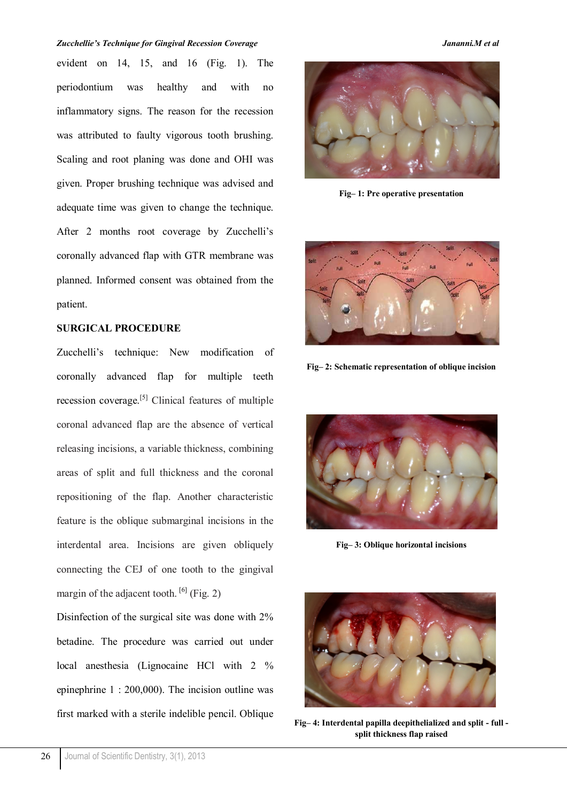### *Zucchellie's Technique for Gingival Recession Coverage Jananni.M et al*

evident on 14, 15, and 16 (Fig. 1). The periodontium was healthy and with no inflammatory signs. The reason for the recession was attributed to faulty vigorous tooth brushing. Scaling and root planing was done and OHI was given. Proper brushing technique was advised and adequate time was given to change the technique. After 2 months root coverage by Zucchelli's coronally advanced flap with GTR membrane was planned. Informed consent was obtained from the patient.

## **SURGICAL PROCEDURE**

Zucchelli's technique: New modification of coronally advanced flap for multiple teeth recession coverage.[5] Clinical features of multiple coronal advanced flap are the absence of vertical releasing incisions, a variable thickness, combining areas of split and full thickness and the coronal repositioning of the flap. Another characteristic feature is the oblique submarginal incisions in the interdental area. Incisions are given obliquely connecting the CEJ of one tooth to the gingival margin of the adjacent tooth.  $[6]$  (Fig. 2)

Disinfection of the surgical site was done with 2% betadine. The procedure was carried out under local anesthesia (Lignocaine HCl with 2 % epinephrine 1 : 200,000). The incision outline was first marked with a sterile indelible pencil. Oblique



**Fig– 1: Pre operative presentation**



**Fig– 2: Schematic representation of oblique incision**



**Fig– 3: Oblique horizontal incisions**



**Fig– 4: Interdental papilla deepithelialized and split - full split thickness flap raised**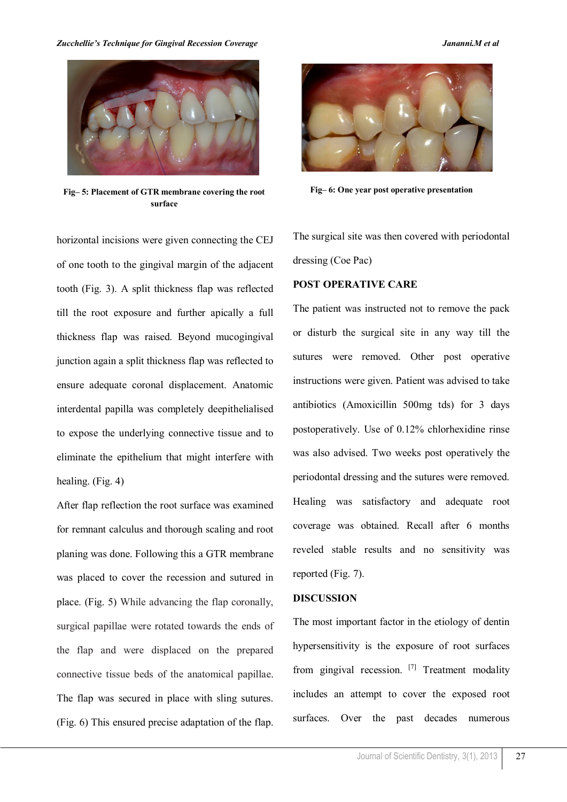### *Zucchellie's Technique for Gingival Recession Coverage Jananni.M et al*



**Fig Fig– 6: One year post operative presentation – 5: Placement of GTR membrane covering the root surface**

horizontal incisions were given connecting the CEJ of one tooth to the gingival margin of the adjacent tooth (Fig. 3). A split thickness flap was reflected till the root exposure and further apically a full thickness flap was raised. Beyond mucogingival junction again a split thickness flap was reflected to ensure adequate coronal displacement. Anatomic interdental papilla was completely deepithelialised to expose the underlying connective tissue and to eliminate the epithelium that might interfere with healing. (Fig. 4)

After flap reflection the root surface was examined for remnant calculus and thorough scaling and root planing was done. Following this a GTR membrane was placed to cover the recession and sutured in place. (Fig. 5) While advancing the flap coronally, surgical papillae were rotated towards the ends of the flap and were displaced on the prepared connective tissue beds of the anatomical papillae. The flap was secured in place with sling sutures. (Fig. 6) This ensured precise adaptation of the flap.



The surgical site was then covered with periodontal dressing (Coe Pac)

## **POST OPERATIVE CARE**

The patient was instructed not to remove the pack or disturb the surgical site in any way till the sutures were removed. Other post operative instructions were given. Patient was advised to take antibiotics (Amoxicillin 500mg tds) for 3 days postoperatively. Use of 0.12% chlorhexidine rinse was also advised. Two weeks post operatively the periodontal dressing and the sutures were removed. Healing was satisfactory and adequate root coverage was obtained. Recall after 6 months reveled stable results and no sensitivity was reported (Fig. 7).

### **DISCUSSION**

The most important factor in the etiology of dentin hypersensitivity is the exposure of root surfaces from gingival recession. [7] Treatment modality includes an attempt to cover the exposed root surfaces. Over the past decades numerous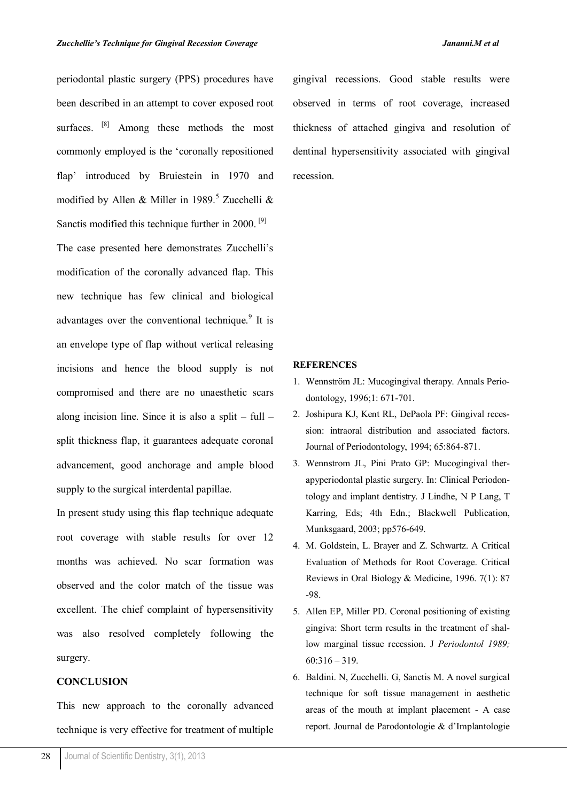periodontal plastic surgery (PPS) procedures have been described in an attempt to cover exposed root surfaces. <sup>[8]</sup> Among these methods the most commonly employed is the 'coronally repositioned flap' introduced by Bruiestein in 1970 and modified by Allen & Miller in 1989.<sup>5</sup> Zucchelli & Sanctis modified this technique further in 2000.<sup>[9]</sup> The case presented here demonstrates Zucchelli's modification of the coronally advanced flap. This new technique has few clinical and biological advantages over the conventional technique.<sup>9</sup> It is an envelope type of flap without vertical releasing incisions and hence the blood supply is not compromised and there are no unaesthetic scars recession.

along incision line. Since it is also a split – full – split thickness flap, it guarantees adequate coronal advancement, good anchorage and ample blood supply to the surgical interdental papillae.

In present study using this flap technique adequate root coverage with stable results for over 12 months was achieved. No scar formation was observed and the color match of the tissue was excellent. The chief complaint of hypersensitivity was also resolved completely following the surgery.

## **CONCLUSION**

This new approach to the coronally advanced technique is very effective for treatment of multiple gingival recessions. Good stable results were observed in terms of root coverage, increased thickness of attached gingiva and resolution of dentinal hypersensitivity associated with gingival

### **REFERENCES**

- 1. Wennström JL: Mucogingival therapy. Annals Periodontology, 1996;1: 671-701.
- 2. Joshipura KJ, Kent RL, DePaola PF: Gingival recession: intraoral distribution and associated factors. Journal of Periodontology, 1994; 65:864-871.
- 3. Wennstrom JL, Pini Prato GP: Mucogingival therapyperiodontal plastic surgery. In: Clinical Periodontology and implant dentistry. J Lindhe, N P Lang, T Karring, Eds; 4th Edn.; Blackwell Publication, Munksgaard, 2003; pp576-649.
- 4. M. Goldstein, L. Brayer and Z. Schwartz. A Critical Evaluation of Methods for Root Coverage. Critical Reviews in Oral Biology & Medicine, 1996. 7(1): 87 -98.
- 5. Allen EP, Miller PD. Coronal positioning of existing gingiva: Short term results in the treatment of shallow marginal tissue recession. J *Periodontol 1989;*  60:316 – 319.
- 6. Baldini. N, Zucchelli. G, Sanctis M. A novel surgical technique for soft tissue management in aesthetic areas of the mouth at implant placement - A case report. Journal de Parodontologie & d'Implantologie